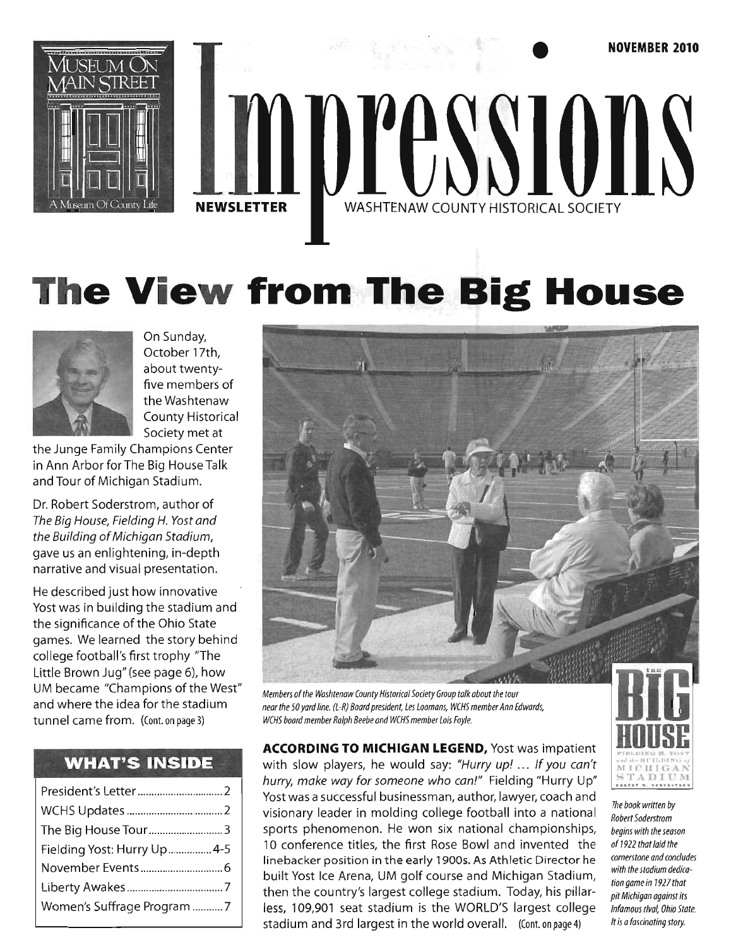

# **The View from The Big House**



On Sunday, October 17th, about twentyfive members of the Washtenaw County Historical Society met at

the Junge Family Champions Center in Ann Arbor for The Big House Talk and Tour of Michigan Stadium.

Dr. Robert Soderstrom, author of The Big House, Fielding H. Yost and the Building of Michigan Stadium, gave us an enlightening, in-depth narrative and visual presentation.

He described just how innovative Yost was in building the stadium and the significance of the Ohio State games. We learned the story behind college football's first trophy "The Little Brown Jug" (see page 6), how UM became "Champions of the West" and where the idea for the stadium tunnel came from. (Cont. on page 3)

## **WHAT'S INSIDE**

| The Big House Tour3          |
|------------------------------|
| Fielding Yost: Hurry Up  4-5 |
|                              |
|                              |
| Women's Suffrage Program 7   |
|                              |



*Members* of *the Washtenaw County Historical Society Group talk about the tour near the 50 yard line. (L-R) Board president, Les Loomans, WCHS member Ann Edwards, WCHS board member Ralph Beebe and WCHS member Lois Foyle.* 

**ACCORDING TO MICHIGAN LEGEND,** Yost was impatient with slow players, he would say: "Hurry up! ... If you can't hurry, make way for someone who can!" Fielding "Hurry Up" Yost was a successful businessman, author, lawyer, coach and visionary leader in molding college football into a national sports phenomenon. He won six national championships, 10 conference titles, the first Rose Bowl and invented the linebacker position in the early 1 900s. As Athletic Director he built Yost Ice Arena, UM golf course and Michigan Stadium, then the country's largest college stadium. Today, his pillarless, 109,901 seat stadium is the WORLD'S largest college stadium and 3rd largest in the world overall. (Cont. on page 4)



*The book written by Robert Soderstrom begins with the season of1922 that laid the cornerstone and concludes with the stadium dedicationgamein 7927that pit Michigan against its infamous rival, Ohio State. It is a fascinating story.*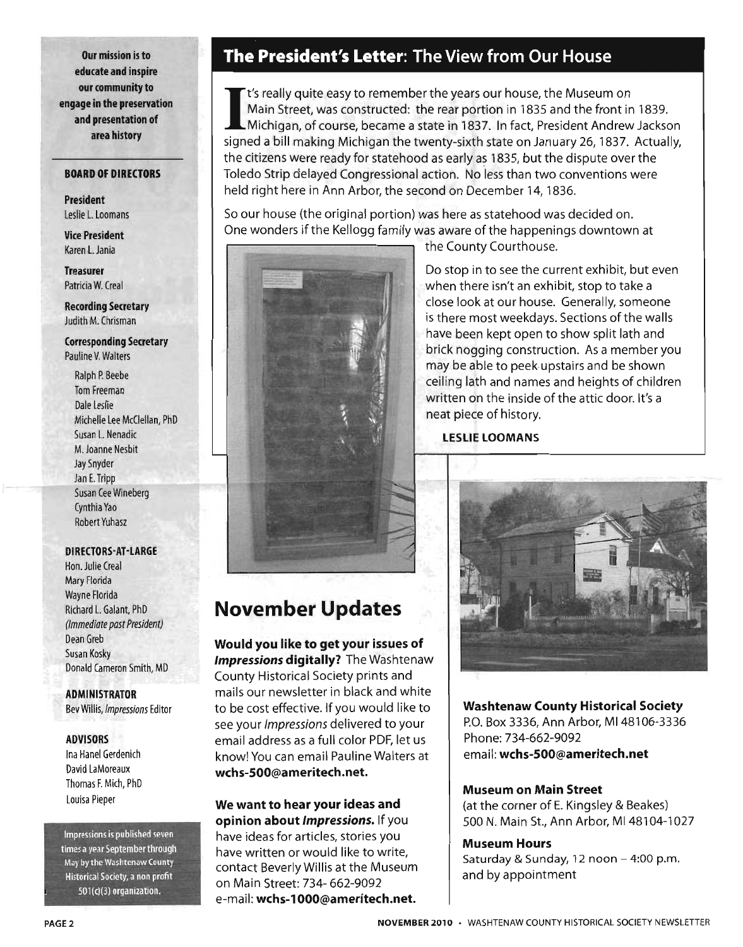**Our mission is to educate and inspire our community to engage in the preservation and presentation of area history** 

#### **BOARD OF DIRECTORS**

**President**  Leslie l. Loomans

**Vice President**  Karen l. Jania

**Treasurer**  Patricia W. Creal

**Recording Secretary**  Judith M. Chrisman

**Corresponding Secretary**  Pauline V. Walters

Ralph P. Beebe Tom Freeman Dale Leslie Michelle Lee McClellan, PhD Susan l. Nenadic . M. Joanne Nesbit Jay Snyder Jan E. Tripp Susan Cee Wineberg Cynthia Yao Robert Yuhasz

**DIRECTORS-AT-LARGE** 

Hon. Julie Creal Mary Florida Wayne Florida Richard l. Galant, PhD (Immediate past President) Dean Greb Susan Kosky Donald Cameron Smith, MD

**ADMINISTRATOR**  Bev Willis, Impressions Editor

#### **ADVISORS**

Ina Hanel Gerdenich David LaMoreaux Thomas F. Mich, PhD Louisa Pieper

Impressions is published seven times a year September through May by the Washtcnaw County Historical Society, a non profit 501(c)(3) organization.

# **The President's Letter: The View from Our House**

I t's really quite easy to remember the years our house, the Museum on Main Street, was constructed: the rear portion in 1835 and the front in 1839. Michigan, of course, became a state in 1837. In fact, President Andrew Jackson signed a bill making Michigan the twenty-sixth state on January 26, 1837. Actually, the citizens were ready for statehood as early as 1835, but the dispute over the Toledo Strip delayed Congressional action. No less than two conventions were held right here in Ann Arbor, the second on December 14, 1836.

So our house (the original portion) was here as statehood was decided on. One wonders if the Kellogg family was aware of the happenings downtown at



the County Courthouse.

Do stop in to see the current exhibit, but even when there isn't an exhibit, stop to take a close look at our house. Generally, someone is there most weekdays. Sections of the walls have been kept open to show split lath and brick nogging construction. As a member you may be able to peek. upstairs and be shown ceiling lath and names and heights of children written on the inside of the attic door. It's a neat piece of history.

**LESLIE LOOMANS** 

# **November Updates**

**Would you like to get your issues of Impressions digitally?** The Washtenaw County Historical Society prints and mails our newsletter in black and white to be cost effective. If you would like to see your Impressions delivered to your email address as a full color PDF, let us know! You can email Pauline Walters at **wchs-SOO@ameritech.net.** 

**We want to hear your ideas and opinion about Impressions.** If you have ideas for articles, stories you have written or would like to write, contact Beverly Willis at the Museum on Main Street: 734- 662-9092 e-mail: **wchs-l000@ameritech.net.** 



**Washtenaw County Historical Society**  P.O. Box 3336, Ann Arbor, MI 48106-3336 Phone: 734-662-9092 email: **wchs-SOO@ameritech.net** 

#### **Museum on Main Street**

(at the corner of E. Kingsley & Beakes) 500 N. Main St., Ann Arbor, MI 48104-1027

#### **Museum Hours**

Saturday & Sunday, 12 noon - 4:00 p.m. and by appointment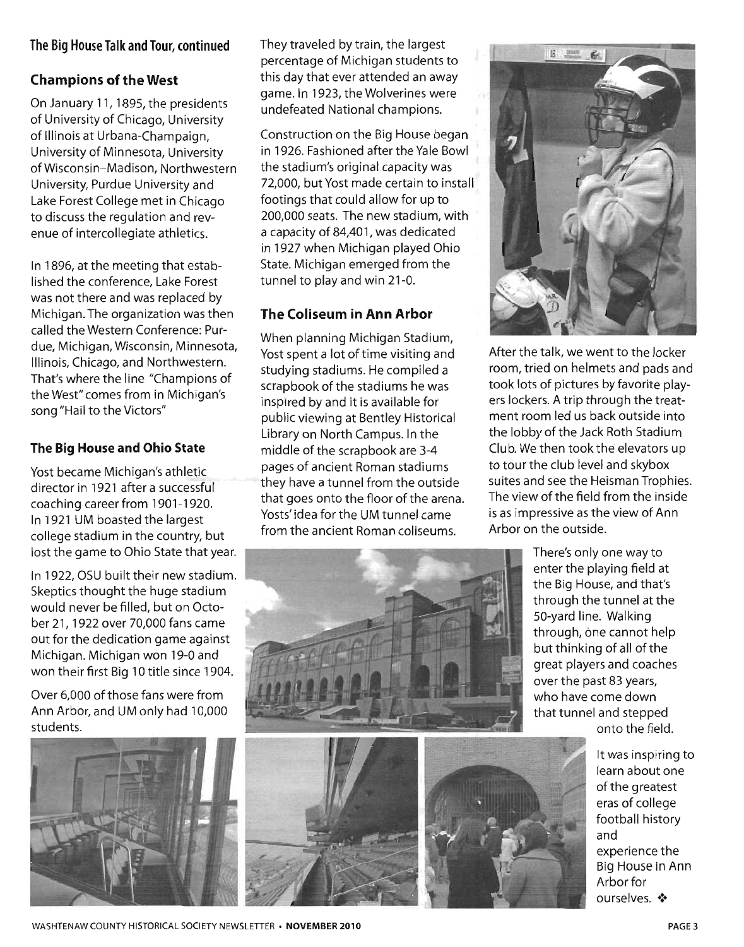#### **The Big House Talk and Tour, continued**

### **Champions of the West**

On January 11, 1895, the presidents of University of Chicago, University of Illinois at Urbana-Champaign, University of Minnesota, University of Wisconsin-Madison, Northwestern University, Purdue University and Lake Forest College met in Chicago to discuss the regulation and revenue of intercollegiate athletics.

In 1896, at the meeting that established the conference, Lake Forest was not there and was replaced by Michigan. The organization was then called the Western Conference: Purdue, Michigan, Wisconsin, Minnesota, Illinois, Chicago, and Northwestern. That's where the line "Champions of the West" comes from in Michigan's song "Hail to the Victors"

#### **The Big House and Ohio State**

Yost became Michigan's athletic director in 1921 after a successful coaching career from 1901-1920. In 1921 UM boasted the largest college stadium in the country, but lost the game to Ohio State that year.

In 1922, OSU built their new stadium. Skeptics thought the huge stadium would never be filled, but on October 21, 1922 over 70,000 fans came out for the dedication game against Michigan. Michigan won 19-0 and won their first Big 10 title since 1904.

Over 6,000 of those fans were from Ann Arbor, and UM only had 10,000 students.



They traveled by train, the largest percentage of Michigan students to this day that ever attended an away game. In 1923, the Wolverines were undefeated National champions.

Construction on the Big House began in 1926. Fashioned after the Yale Bowl the stadium's original capacity was 72,000, but Yost made certain to install footings that could allow for up to 200,000 seats. The new stadium, with a capacity of 84,401, was dedicated in 1927 when Michigan played Ohio State. Michigan emerged from the tunnel to play and win 21-0.

### **The Coliseum in Ann Arbor**

When planning Michigan Stadium, Yost spent a lot of time visiting and studying stadiums. He compiled a scrapbook of the stadiums he was inspired by and it is available for public viewing at Bentley Historical Library on North Campus. In the middle of the scrapbook are 3-4 pages of ancient Roman stadiums they have a tunnel from the outside that goes onto the floor of the arena. Yosts' idea for the UM tunnel came from the ancient Roman coliseums.



After the talk, we went to the locker room, tried on helmets and pads and took lots of pictures by favorite players lockers. A trip through the treatment room led us back outside into the lobby of the Jack Roth Stadium Club. We then took the elevators up to tour the club level and skybox suites and see the Heisman Trophies. The view of the field from the inside is as impressive as the view of Ann Arbor on the outside.





It was inspiring to learn about one of the greatest eras of college football history and experience the Big House In Ann Arbor for ourselves.  $\clubsuit$ 

WASHTENAW COUNTY HISTORICAL SOCIETY NEWSLETTER · NOVEMBER 2010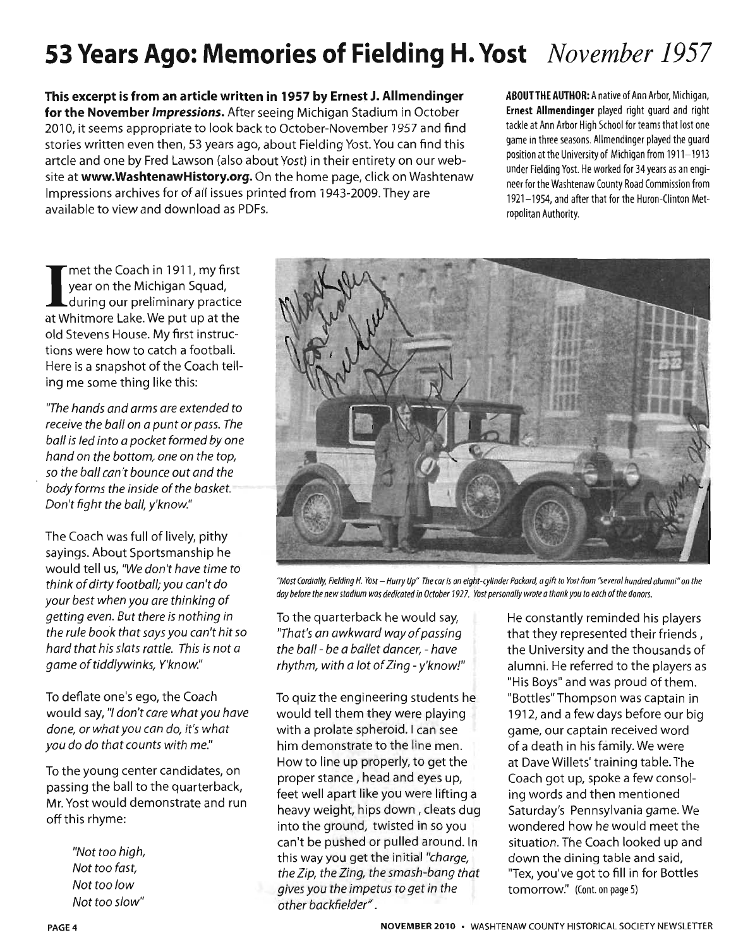# **53 Years Ago: Memories of Fielding H. Yost** *November 1957*

This excerpt is from an article written in 1957 by Ernest J. Allmendinger for the November Impressions. After seeing Michigan Stadium in October 2010, it seems appropriate to look back to October-November 1957 and find stories written even then, 53 years ago, about Fielding Yost. You can find this artcle and one by Fred Lawson (also about Yost) in their entirety on our website at www.WashtenawHistory.org. On the home page, click on Washtenaw Impressions archives for of all issues printed from 1943-2009. They are available to view and download as PDFs.

ABOUT THE AUTHOR: A native of Ann Arbor, Michigan, Ernest Allmendinger played right guard and right tackle at Ann Arbor High School for teams that lost one game in three seasons. Allmendinger played the guard position at the University of Michigan from 1911-1913 under Fielding Yost. He worked for 34 years as an engineer for the Washtenaw County Road Commission from 1921-1954, and after that for the Huron-Clinton Metropolitan Authority.

I met the Coach in 1911, my first year on the Michigan Squad, during our preliminary practice at Whitmore Lake. We put up at the old Stevens House. My first instructions were how to catch a football. Here is a snapshot of the Coach telling me some thing like this:

'The hands and arms are extended to receive the ball on a punt or pass. The ball is led into a pocket formed by one hand on the bottom, one on the top, so the ball can't bounce out and the body forms the inside of the basket. Don't fight the ball, y'know."

The Coach was full of lively, pithy sayings. About Sportsmanship he would tell us, "We don't have time to think of dirty football; you can't do your best when you are thinking of getting even. But there is nothing in the rule book that says you can't hit so hard that his slats rattle. This is not a game of tiddlywinks, Y'know."

To deflate one's ego, the Coach would say, "1 don't care what you have done, or what you can do, it's what you do do that counts with me."

To the young center candidates, on passing the ball to the quarterback, Mr. Yost would demonstrate and run off this rhyme:

> "Not too high, Not too fast Not too low Not too slow"



*NMost Cordially, Fielding H. Yost* - *Hurry Up' The car is an eight-cylinder Packard, a gift to Yost from "several hundred alumni· on the day before the new stadium was dedicated in Odober* 1927. *Yost personally wrote a thank you* to *each of the donors.* 

To the quarterback he would say, 'That's an awkward way of passing the ball- be a ballet dancer, - have  $r$ hythm, with a lot of Zing - y'know!"

To quiz the engineering students he would tell them they were playing with a prolate spheroid. I can see him demonstrate to the line men. How to line up properly, to get the proper stance, head and eyes up, feet well apart like you were lifting a heavy weight, hips down, cleats dug into the ground, twisted in so you can't be pushed or pulled around. In this way you get the initial "charge, the Zip, the Zing, the smash-bang that gives you the impetus to get in the other backfielder" .

He constantly reminded his players that they represented their friends, the University and the thousands of alumni. He referred to the players as "His Boys" and was proud of them. "Bottles" Thompson was captain in 1912, and a few days before our big game, our captain received word of a death in his family. We were at Dave Willets' training table. The Coach got up, spoke a few consoling words and then mentioned Saturday's Pennsylvania game. We wondered how he would meet the situation. The Coach looked up and down the dining table and said, "Tex, you've got to fill in for Bottles tomorrow." (Cont. on page 5)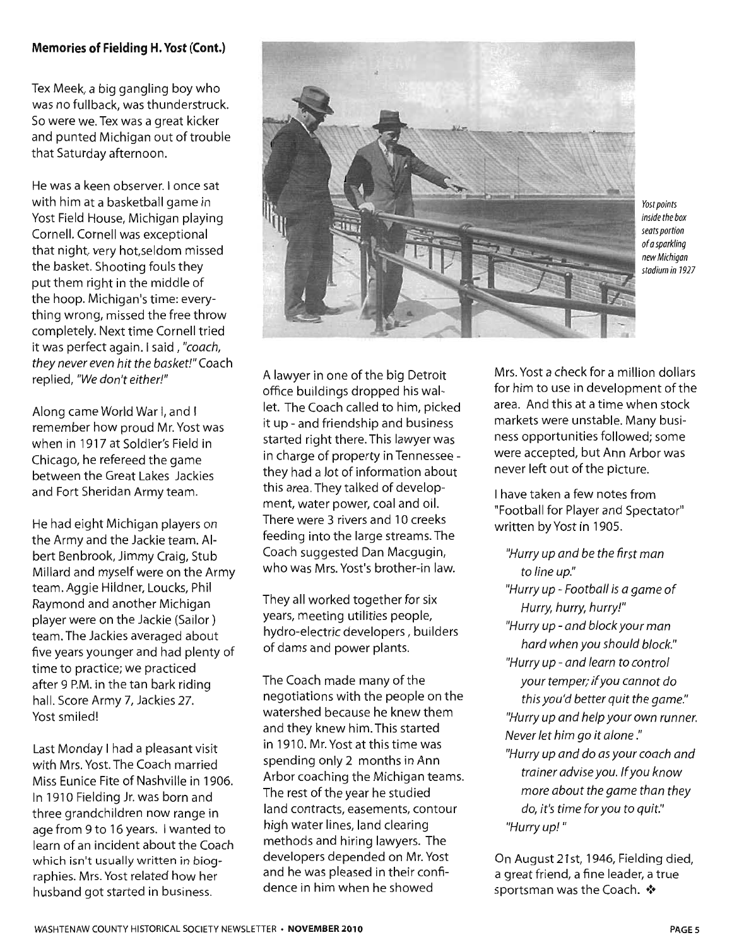#### **Memories of Fielding H. Yost (Cont.)**

Tex Meek, a big gangling boy who was no fullback, was thunderstruck. So were we. Tex was a great kicker and punted Michigan out of trouble that Saturday afternoon.

He was a keen observer. I once sat with him at a basketball game in Yost Field House, Michigan playing Cornell. Cornell was exceptional that night, very hot,seldom missed the basket. Shooting fouls they put them right in the middle of the hoop. Michigan's time: everything wrong, missed the free throw completely. Next time Cornell tried it was perfect again. I said, "coach, they never even hit the basket!" Coach replied, "We don't either!"

Along came World War I, and I remember how proud Mr. Yost was when in 1917 at Soldier's Field in Chicago, he refereed the game between the Great Lakes Jackies and Fort Sheridan Army team.

He had eight Michigan players on the Army and the Jackie team. Albert Benbrook, Jimmy Craig, Stub Millard and myself were on the Army team. Aggie Hildner, Loucks, Phil Raymond and another Michigan player were on the Jackie (Sailor) team. The Jackies averaged about five years younger and had plenty of time to practice; we practiced after 9 P.M. in the tan bark riding hall. Score Army 7, Jackies 27. Yost smiled!

Last Monday I had a pleasant visit with Mrs. Yost. The Coach married Miss Eunice Fite of Nashville in 1906. In 1910 Fielding Jr. was born and three grandchildren now range in age from 9 to 16 years. I wanted to learn of an incident about the Coach which isn't usually written in biographies. Mrs. Yost related how her husband got started in business.



Yost points inside the box seats portion of a sparkling new Michigan stadium in 7927

A lawyer in one of the big Detroit office buildings dropped his wallet. The Coach called to him, picked it up - and friendship and business started right there. This lawyer was in charge of property in Tennessee they had a lot of information about this area. They talked of development, water power, coal and oil. There were 3 rivers and 10 creeks feeding into the large streams. The Coach suggested Dan Macgugin, who was Mrs. Yost's brother-in law.

They all worked together for six years, meeting utilities people, hydro-electric developers, builders of dams and power plants.

The Coach made many of the negotiations with the people on the watershed because he knew them and they knew him. This started in 1910. Mr. Yost at this time was spending only 2 months in Ann Arbor coaching the Michigan teams. The rest of the year he studied land contracts, easements, contour high water lines, land clearing methods and hiring lawyers. The developers depended on Mr. Yost and he was pleased in their confidence in him when he showed

Mrs. Yost a check for a million dollars for him to use in development of the area. And this at a time when stock markets were unstable. Many business opportunities followed; some were accepted, but Ann Arbor was never left out of the picture.

I have taken a few notes from "Football for Player and Spectator" written by Yost in 1905.

"Hurry up and be the first man to line up." "Hurry up - Football is a game of Hurry, hurry, hurry!" "Hurry up - and block your man hard when you should block." "Hurry up - and learn to control your temper; if you cannot do this you'd better quit the game." "Hurry up and help your own runner. Never let him go it alone ." "Hurry up and do as your coach and trainer advise you. If you know more about the game than they do, it's time for you to quit." "Hurry up! "

On August 21st, 1946, Fielding died, a great friend, a fine leader, a true sportsman was the Coach.  $\clubsuit$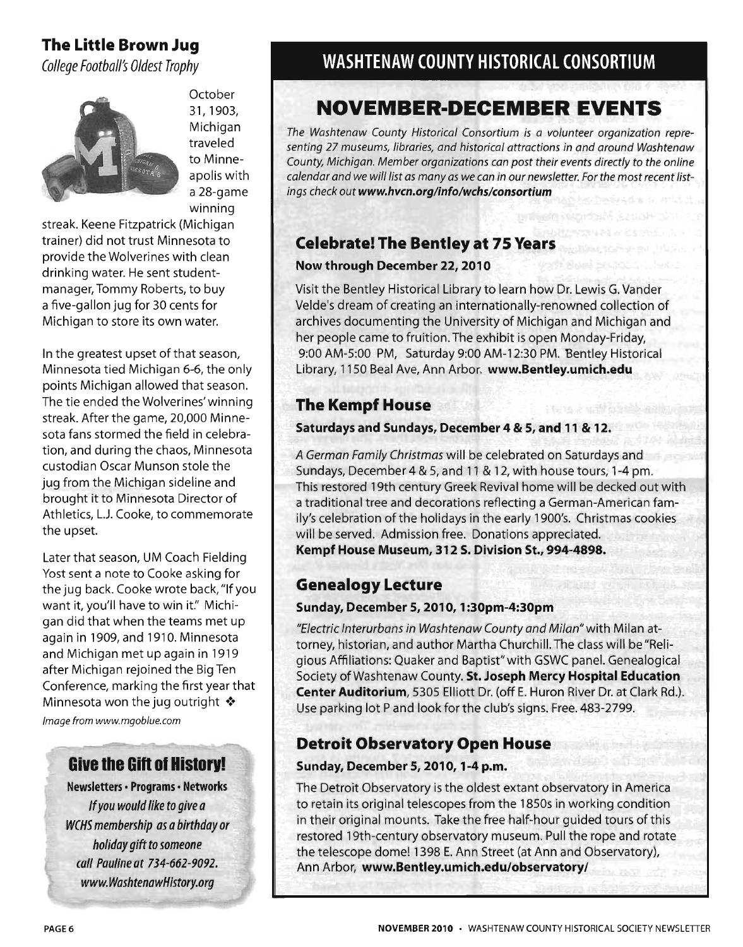# The Little Brown Jug

*College Football's Oldest Trophy* 



October 31,1903, Michigan traveled to Minneapolis with a 28-game winning

streak. Keene Fitzpatrick (Michigan trainer) did not trust Minnesota to provide the Wolverines with clean drinking water. He sent studentmanager, Tommy Roberts, to buy a five-gallon jug for 30 cents for Michigan to store its own water.

In the greatest upset of that season, Minnesota tied Michigan 6-6, the only points Michigan allowed that season. The tie ended the Wolverines' winning streak. After the game, 20,000 Minnesota fans stormed the field in celebration, and during the chaos, Minnesota custodian Oscar Munson stole the jug from the Michigan sideline and brought it to Minnesota Director of Athletics, LJ. Cooke, to commemorate the upset.

Later that season, UM Coach Fielding Yost sent a note to Cooke asking for the jug back. Cooke wrote back, "If you want it, you'll have to win it." Michigan did that when the teams met up again in 1909, and 1910. Minnesota and Michigan met up again in 1919 after Michigan rejoined the Big Ten Conference, marking the first year that Minnesota won the jug outright  $\cdot$ Image from www.mgoblue.com

# **Give the Gift of History!**

Newsletters · Programs · Networks If you would like to give a WCHS membership as a birthday or holiday gift to someone call Pauline at 734-662-9092. www.WashtenawHistory.org

# WASHTENAW COUNTY HISTORICAL CONSORTIUM

# **NOVEMBER-DECEMBER EVENTS**

*The Washtenaw County Historical Consortium is a volunteer organization representing* 27 *museums, libraries, and historical attractions in and around Washtenaw County, Michigan. Member organizations can post their events directly* to *the online*  calendar and we will list as many as we can in our newsletter. For the most recent list*ings check out* www.hvcn.org/info/wchs/consortium

## Celebrate! The Bentley at 75 Years

#### Now through December 22, 2010

Visit the Bentley Historical Library to learn how Dr. Lewis G. Vander Velde's dream of creating an internationally-renowned collection of archives documenting the University of Michigan and Michigan and her people came to fruition. The exhibit is open Monday-Friday, 9:00 AM-5:00 PM, Saturday 9:00 AM-12:30 PM. Bentley Historical Library, 1150 Beal Ave, Ann Arbor. www.Bentley.umich.edu

# The Kempf House

#### Saturdays and Sundays, December 4 & 5, and 11 & 12.

A German Family Christmas will be celebrated on Saturdays and Sundays, December 4 & 5, and 11 & 12, with house tours, 1-4 pm. This restored 19th century Greek Revival home will be decked out with a traditional tree and decorations reflecting a German-American family's celebration of the holidays in the early 1900's. Christmas cookies will be served. Admission free. Donations appreciated. Kempf House Museum, 312 S. Division St., 994-4898.

## Genealogy Lecture

#### Sunday, December 5,2010, 1:30pm-4:30pm

"Electric Interurbans in Washtenaw County and Milan" with Milan attorney, historian, and author Martha Churchill. The class will be"Religious Affiliations: Quaker and Baptist"with GSWC panel. Genealogical Society of Washtenaw County. St. Joseph Mercy Hospital Education Center Auditorium, 5305 Elliott Dr. (off E. Huron River Dr. at Clark Rd.). Use parking lot P and look for the club's signs. Free. 483-2799.

## Detroit Observatory Open House

#### Sunday, December 5, 2010, 1-4 p.m.

The Detroit Observatory is the oldest extant observatory in America to retain its original telescopes from the 1850s in working condition in their original mounts. Take the free half-hour guided tours of this restored 19th-century observatory museum. Pull the rope and rotate the telescope dome! 1398 E. Ann Street (at Ann and Observatory), Ann Arbor, www.Bentley.umich.edu/observatory/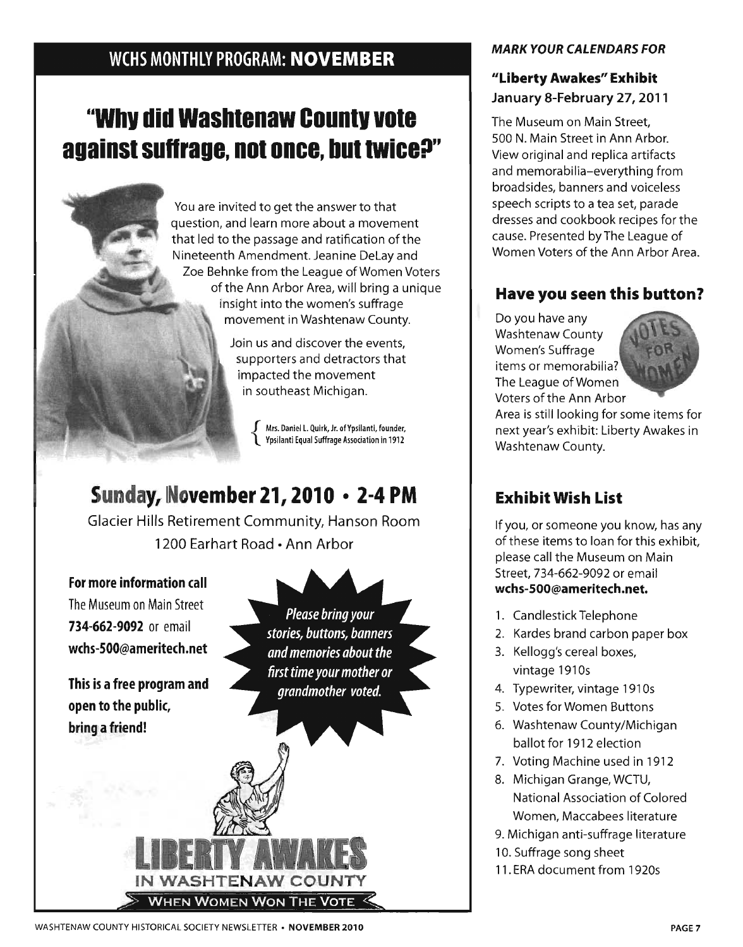# WCHS MONTHLY PROGRAM: NOVEMBER

# "WhV did Washtenaw Countv vote against suffrage, not once, but twice?"

You are invited to get the answer to that question, and learn more about a movement that led to the passage and ratification of the Nineteenth Amendment. Jeanine Delay and Zoe Behnke from the league of Women Voters of the Ann Arbor Area, will bring a unique insight into the women's suffrage movement in Washtenaw County.

> Join us and discover the events, supporters and detractors that impacted the movement in southeast Michigan.

> > Mrs. Daniel L. Quirk, Jr. of Ypsilanti, founder, Ypsilanti Equal Suffrage Association in 1912

# Sunday, November 21,2010 • 2-4 PM

Glacier Hills Retirement Community, Hanson Room 1200 Earhart Road • Ann Arbor

For more information call The Museum on Main Street 734-662-9092 or email wchs-500@ameritech.net

This is a free program and open to the public, bring a friend!

-

Please bring your stories, buttons, banners and memories about the first time your mother or grandmother voted.

 $\sqrt{2}$ 

#### MARK YOUR CALENDARS FOR

## "Liberty Awakes" Exhibit January 8-February 27, 2011

The Museum on Main Street, 500 N. Main Street in Ann Arbor. View original and replica artifacts and memorabilia-everything from broadsides, banners and voiceless speech scripts to a tea set, parade dresses and cookbook recipes for the cause. Presented byThe league of Women Voters of the Ann Arbor Area.

## Have you seen this button?

Do you have any Washtenaw County Women's Suffrage items or memorabilia? The league of Women Voters of the Ann Arbor



Area is still looking for some items for next year's exhibit: Liberty Awakes in Washtenaw County.

# Exhibit Wish List

If you, or someone you know, has any of these items to loan for this exhibit, please call the Museum on Main Street, 734-662-9092 or email wchs-SOO@ameritech.net.

- 1. Candlestick Telephone
- 2. Kardes brand carbon paper box
- 3. Kellogg's cereal boxes, vintage 1910s
- 4. Typewriter, vintage 1910s
- 5. Votes for Women Buttons
- 6. Washtenaw County/Michigan ballot for 1912 election
- 7. Voting Machine used in 1912
- 8. Michigan Grange, WCTU, National Association of Colored Women, Maccabees literature
- 9. Michigan anti-suffrage literature
- 10. Suffrage song sheet
- 11. ERA document from 1920s

IN WASHTENAW COUNT

IN WASHTENAW COUNT<br>> When Women Won The Vote